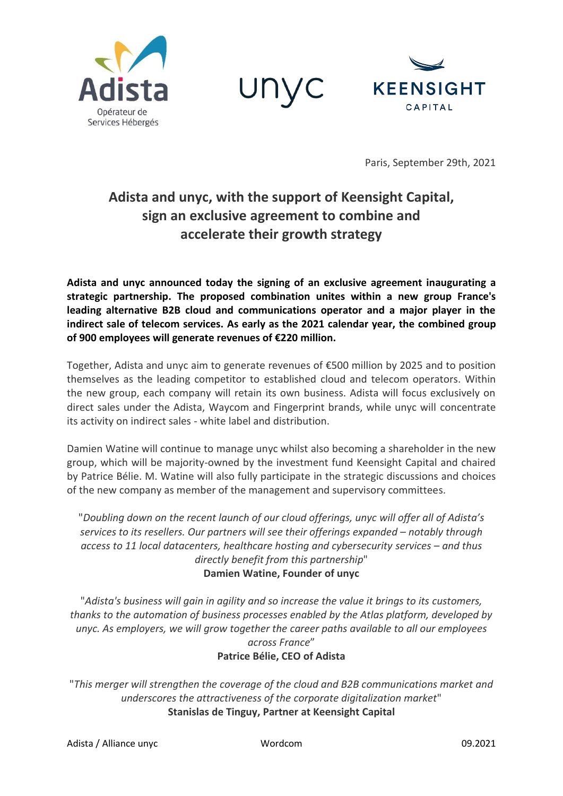



Paris, September 29th, 2021

# **Adista and unyc, with the support of Keensight Capital, sign an exclusive agreement to combine and accelerate their growth strategy**

**Adista and unyc announced today the signing of an exclusive agreement inaugurating a strategic partnership. The proposed combination unites within a new group France's leading alternative B2B cloud and communications operator and a major player in the indirect sale of telecom services. As early as the 2021 calendar year, the combined group of 900 employees will generate revenues of €220 million.**

Together, Adista and unyc aim to generate revenues of €500 million by 2025 and to position themselves as the leading competitor to established cloud and telecom operators. Within the new group, each company will retain its own business. Adista will focus exclusively on direct sales under the Adista, Waycom and Fingerprint brands, while unyc will concentrate its activity on indirect sales - white label and distribution.

Damien Watine will continue to manage unyc whilst also becoming a shareholder in the new group, which will be majority-owned by the investment fund Keensight Capital and chaired by Patrice Bélie. M. Watine will also fully participate in the strategic discussions and choices of the new company as member of the management and supervisory committees.

"*Doubling down on the recent launch of our cloud offerings, unyc will offer all of Adista's services to its resellers. Our partners will see their offerings expanded – notably through access to 11 local datacenters, healthcare hosting and cybersecurity services – and thus directly benefit from this partnership*" **Damien Watine, Founder of unyc**

"*Adista's business will gain in agility and so increase the value it brings to its customers, thanks to the automation of business processes enabled by the Atlas platform, developed by unyc. As employers, we will grow together the career paths available to all our employees across France*" **Patrice Bélie, CEO of Adista**

"*This merger will strengthen the coverage of the cloud and B2B communications market and underscores the attractiveness of the corporate digitalization market*" **Stanislas de Tinguy, Partner at Keensight Capital**